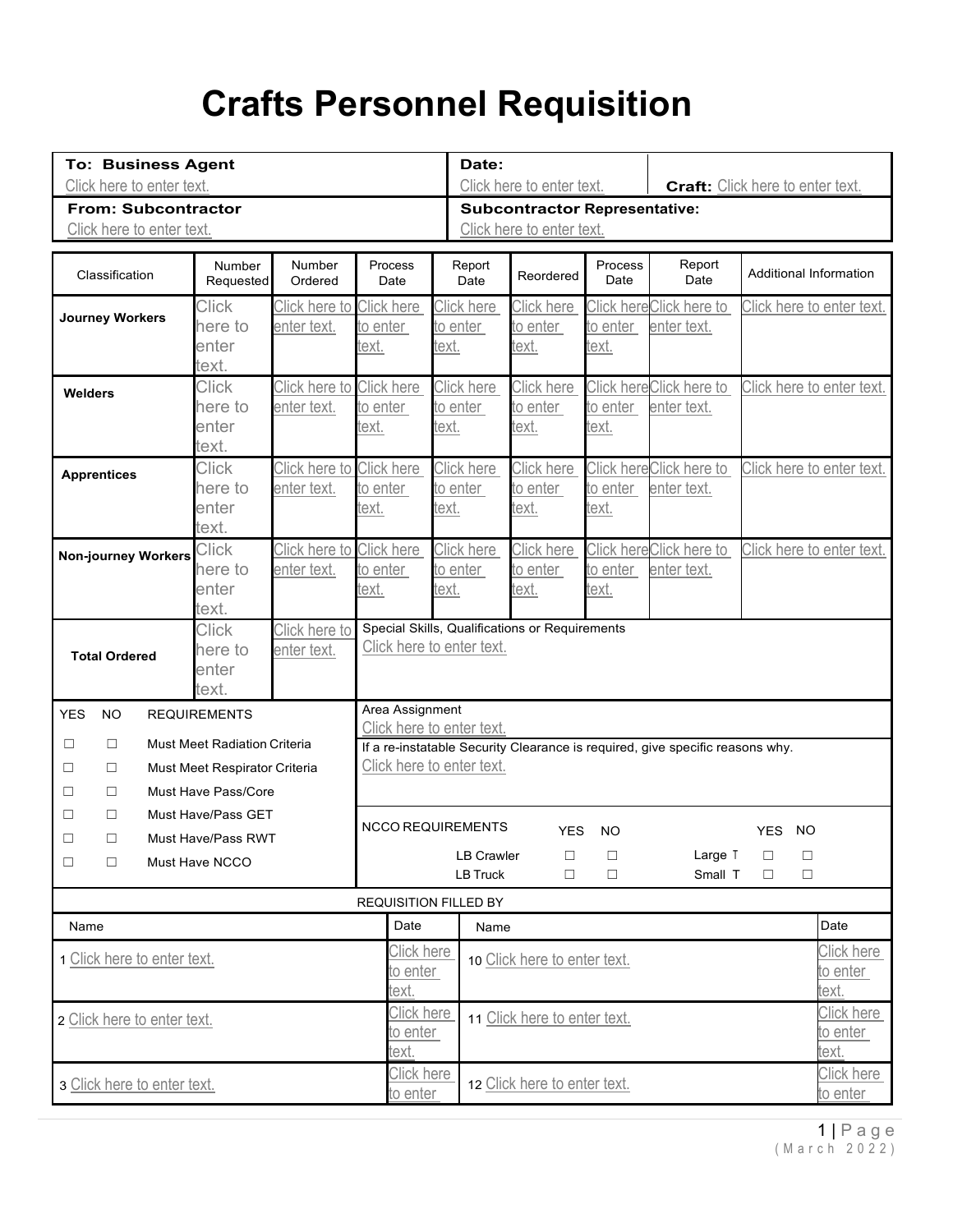## **Crafts Personnel Requisition**

| <b>To: Business Agent</b><br>Click here to enter text.  |                            |                                                                             |                                                                                                            |            | Date:                                                             | Click here to enter text. | Craft: Click here to enter text. |                         |                               |                   |                           |  |
|---------------------------------------------------------|----------------------------|-----------------------------------------------------------------------------|------------------------------------------------------------------------------------------------------------|------------|-------------------------------------------------------------------|---------------------------|----------------------------------|-------------------------|-------------------------------|-------------------|---------------------------|--|
| <b>From: Subcontractor</b>                              |                            |                                                                             |                                                                                                            |            | <b>Subcontractor Representative:</b><br>Click here to enter text. |                           |                                  |                         |                               |                   |                           |  |
| Click here to enter text.                               |                            |                                                                             |                                                                                                            |            |                                                                   |                           |                                  |                         |                               |                   |                           |  |
| Classification                                          | <b>Number</b><br>Requested | Number<br>Ordered                                                           | Process<br>Date                                                                                            |            | Report<br>Date                                                    | Reordered                 | Process<br>Date                  | Report<br>Date          | <b>Additional Information</b> |                   |                           |  |
| <b>Journey Workers</b>                                  | <b>Click</b>               | Click here to Click here                                                    |                                                                                                            |            | Click here                                                        | Click here                |                                  | Click hereClick here to |                               |                   | Click here to enter text. |  |
|                                                         | here to<br>enter           | enter text.                                                                 | to enter                                                                                                   | text.      | to enter                                                          | to enter<br>text.         | to enter<br>text.                | enter text.             |                               |                   |                           |  |
|                                                         | text.                      |                                                                             | ext.                                                                                                       |            |                                                                   |                           |                                  |                         |                               |                   |                           |  |
| Welders                                                 | <b>Click</b>               | Click here to Click here                                                    |                                                                                                            |            | Click here                                                        | Click here                |                                  | Click hereClick here to |                               |                   | Click here to enter text. |  |
|                                                         | here to                    | enter text.                                                                 | to enter                                                                                                   |            | to enter                                                          | to enter                  | to enter                         | enter text.             |                               |                   |                           |  |
|                                                         | enter                      |                                                                             | text.                                                                                                      | text.      |                                                                   | text.                     | text.                            |                         |                               |                   |                           |  |
|                                                         | text.                      |                                                                             |                                                                                                            |            |                                                                   |                           |                                  |                         |                               |                   |                           |  |
| <b>Apprentices</b>                                      | <b>Click</b><br>here to    | Click here to Click here                                                    |                                                                                                            |            | Click here                                                        | Click here                |                                  | Click hereClick here to |                               |                   | Click here to enter text. |  |
|                                                         | enter                      | enter text.                                                                 | to enter<br>text.                                                                                          | text.      | to enter                                                          | to enter<br>text.         | to enter<br>text.                | enter text.             |                               |                   |                           |  |
|                                                         | text.                      |                                                                             |                                                                                                            |            |                                                                   |                           |                                  |                         |                               |                   |                           |  |
| <b>Non-journey Workers</b>                              | <b>Click</b>               | Click here to Click here                                                    |                                                                                                            |            | Click here                                                        | Click here                |                                  | Click hereClick here to |                               |                   | Click here to enter text. |  |
|                                                         | here to                    | enter text.                                                                 | to enter                                                                                                   |            | to enter                                                          | to enter                  | to enter                         | enter text.             |                               |                   |                           |  |
|                                                         | enter                      |                                                                             | <u>:ext.</u>                                                                                               | text.      |                                                                   | <u>text.</u>              | text.                            |                         |                               |                   |                           |  |
|                                                         | text.                      |                                                                             |                                                                                                            |            |                                                                   |                           |                                  |                         |                               |                   |                           |  |
| <b>Click</b><br>Click here to<br>here to<br>enter text. |                            | Special Skills, Qualifications or Requirements<br>Click here to enter text. |                                                                                                            |            |                                                                   |                           |                                  |                         |                               |                   |                           |  |
| <b>Total Ordered</b>                                    | enter                      |                                                                             |                                                                                                            |            |                                                                   |                           |                                  |                         |                               |                   |                           |  |
|                                                         | text.                      |                                                                             |                                                                                                            |            |                                                                   |                           |                                  |                         |                               |                   |                           |  |
| <b>NO</b><br><b>YES</b><br><b>REQUIREMENTS</b>          |                            |                                                                             | Area Assignment                                                                                            |            |                                                                   |                           |                                  |                         |                               |                   |                           |  |
| <b>Must Meet Radiation Criteria</b><br>$\Box$<br>□      |                            |                                                                             | Click here to enter text.                                                                                  |            |                                                                   |                           |                                  |                         |                               |                   |                           |  |
| Must Meet Respirator Criteria<br>$\Box$<br>□            |                            |                                                                             | If a re-instatable Security Clearance is required, give specific reasons why.<br>Click here to enter text. |            |                                                                   |                           |                                  |                         |                               |                   |                           |  |
| □<br>п                                                  | Must Have Pass/Core        |                                                                             |                                                                                                            |            |                                                                   |                           |                                  |                         |                               |                   |                           |  |
| $\Box$<br>П                                             | Must Have/Pass GET         |                                                                             |                                                                                                            |            |                                                                   |                           |                                  |                         |                               |                   |                           |  |
| $\Box$<br>Must Have/Pass RWT<br>□                       |                            |                                                                             |                                                                                                            |            | <b>NCCO REQUIREMENTS</b>                                          | <b>YES</b>                | <b>NO</b>                        |                         | YES NO                        |                   |                           |  |
| $\Box$<br>□                                             | Must Have NCCO             |                                                                             |                                                                                                            |            | <b>LB Crawler</b>                                                 | □                         | $\Box$                           | Large T                 | □                             | □                 |                           |  |
|                                                         |                            |                                                                             |                                                                                                            |            | <b>LB Truck</b>                                                   | $\Box$                    | □                                | Small T                 | п                             | $\Box$            |                           |  |
|                                                         |                            |                                                                             | <b>REQUISITION FILLED BY</b>                                                                               |            |                                                                   |                           |                                  |                         |                               |                   |                           |  |
| Name                                                    |                            |                                                                             |                                                                                                            | Date       | Name                                                              |                           |                                  |                         |                               |                   | Date                      |  |
| 1 Click here to enter text.                             |                            |                                                                             |                                                                                                            | Click here | 10 Click here to enter text.                                      |                           |                                  |                         |                               | Click here        |                           |  |
|                                                         |                            |                                                                             | text.                                                                                                      | to enter   |                                                                   |                           |                                  |                         |                               |                   | to enter<br>text.         |  |
|                                                         |                            |                                                                             |                                                                                                            | Click here |                                                                   |                           |                                  |                         |                               | <b>Click here</b> |                           |  |
| 2 Click here to enter text.                             |                            |                                                                             |                                                                                                            | to enter   | 11 Click here to enter text.                                      |                           |                                  |                         | <u>to enter</u>               |                   |                           |  |
|                                                         |                            |                                                                             | text.                                                                                                      |            |                                                                   |                           |                                  |                         |                               |                   | text.                     |  |
| 3 Click here to enter text.                             |                            |                                                                             |                                                                                                            | Click here | 12 Click here to enter text.                                      |                           |                                  |                         | Click here                    |                   |                           |  |
|                                                         |                            |                                                                             |                                                                                                            | to enter   |                                                                   |                           |                                  |                         |                               |                   | <u>to enter</u>           |  |